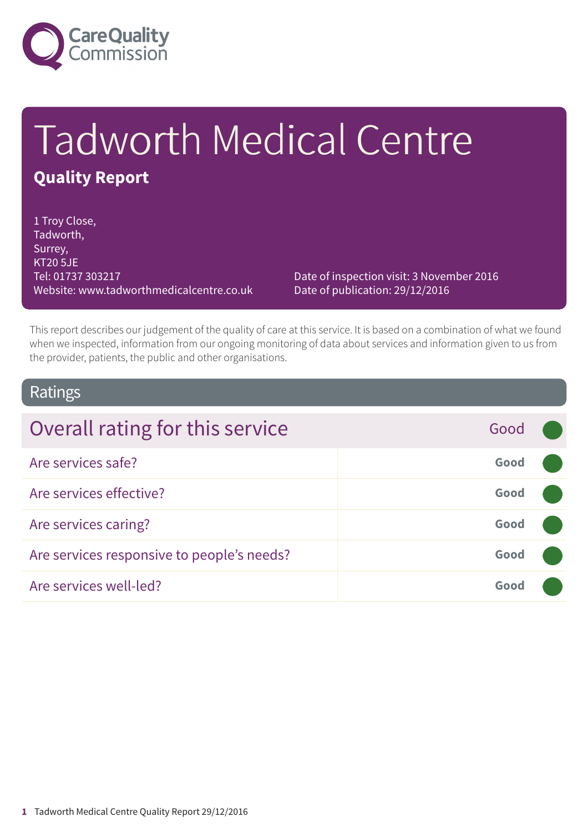

# Tadworth Medical Centre **Quality Report**

1 Troy Close, Tadworth, Surrey, KT20 5JE Tel: 01737 303217 Website: www.tadworthmedicalcentre.co.uk

Date of inspection visit: 3 November 2016 Date of publication: 29/12/2016

This report describes our judgement of the quality of care at this service. It is based on a combination of what we found when we inspected, information from our ongoing monitoring of data about services and information given to us from the provider, patients, the public and other organisations.

### Ratings

| Overall rating for this service            | Good |  |
|--------------------------------------------|------|--|
| Are services safe?                         | Good |  |
| Are services effective?                    | Good |  |
| Are services caring?                       | Good |  |
| Are services responsive to people's needs? | Good |  |
| Are services well-led?                     | Good |  |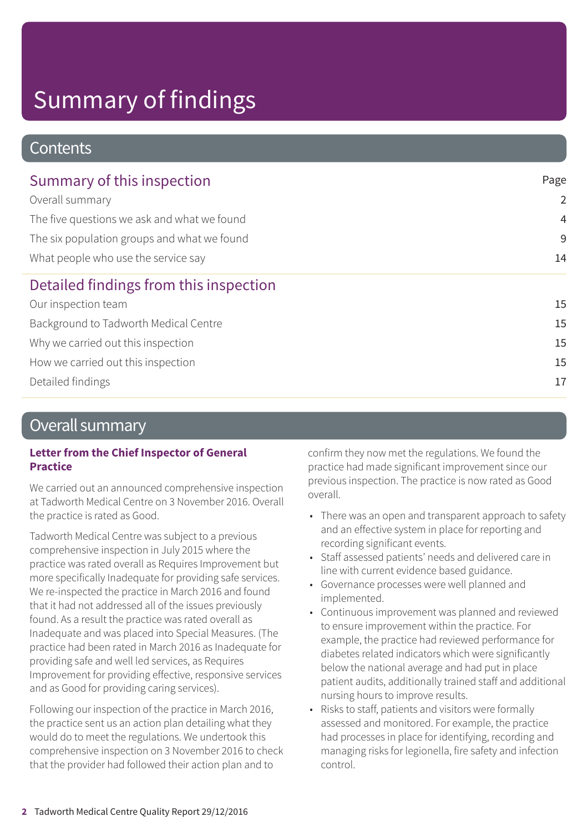### **Contents**

| Summary of this inspection                  | Page           |
|---------------------------------------------|----------------|
| Overall summary                             | $\overline{2}$ |
| The five questions we ask and what we found | $\overline{4}$ |
| The six population groups and what we found | 9              |
| What people who use the service say         | 14             |
| Detailed findings from this inspection      |                |
| Our inspection team                         | 15             |
| Background to Tadworth Medical Centre       | 15             |
| Why we carried out this inspection          | 15             |
| How we carried out this inspection          | 15             |
| Detailed findings                           | 17             |
|                                             |                |

### Overall summary

#### **Letter from the Chief Inspector of General Practice**

We carried out an announced comprehensive inspection at Tadworth Medical Centre on 3 November 2016. Overall the practice is rated as Good.

Tadworth Medical Centre was subject to a previous comprehensive inspection in July 2015 where the practice was rated overall as Requires Improvement but more specifically Inadequate for providing safe services. We re-inspected the practice in March 2016 and found that it had not addressed all of the issues previously found. As a result the practice was rated overall as Inadequate and was placed into Special Measures. (The practice had been rated in March 2016 as Inadequate for providing safe and well led services, as Requires Improvement for providing effective, responsive services and as Good for providing caring services).

Following our inspection of the practice in March 2016, the practice sent us an action plan detailing what they would do to meet the regulations. We undertook this comprehensive inspection on 3 November 2016 to check that the provider had followed their action plan and to

confirm they now met the regulations. We found the practice had made significant improvement since our previous inspection. The practice is now rated as Good overall.

- There was an open and transparent approach to safety and an effective system in place for reporting and recording significant events.
- Staff assessed patients' needs and delivered care in line with current evidence based guidance.
- Governance processes were well planned and implemented.
- Continuous improvement was planned and reviewed to ensure improvement within the practice. For example, the practice had reviewed performance for diabetes related indicators which were significantly below the national average and had put in place patient audits, additionally trained staff and additional nursing hours to improve results.
- Risks to staff, patients and visitors were formally assessed and monitored. For example, the practice had processes in place for identifying, recording and managing risks for legionella, fire safety and infection control.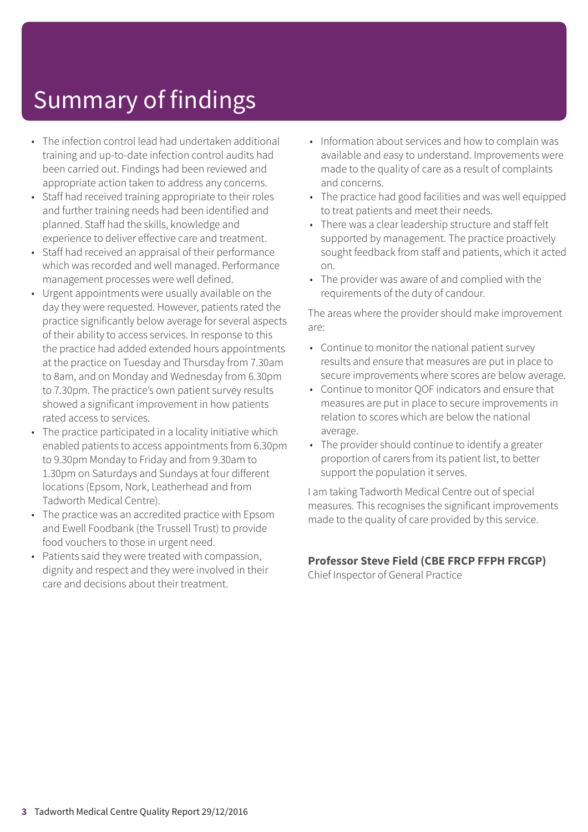- The infection control lead had undertaken additional training and up-to-date infection control audits had been carried out. Findings had been reviewed and appropriate action taken to address any concerns.
- Staff had received training appropriate to their roles and further training needs had been identified and planned. Staff had the skills, knowledge and experience to deliver effective care and treatment.
- Staff had received an appraisal of their performance which was recorded and well managed. Performance management processes were well defined.
- Urgent appointments were usually available on the day they were requested. However, patients rated the practice significantly below average for several aspects of their ability to access services. In response to this the practice had added extended hours appointments at the practice on Tuesday and Thursday from 7.30am to 8am, and on Monday and Wednesday from 6.30pm to 7.30pm. The practice's own patient survey results showed a significant improvement in how patients rated access to services.
- The practice participated in a locality initiative which enabled patients to access appointments from 6.30pm to 9.30pm Monday to Friday and from 9.30am to 1.30pm on Saturdays and Sundays at four different locations (Epsom, Nork, Leatherhead and from Tadworth Medical Centre).
- The practice was an accredited practice with Epsom and Ewell Foodbank (the Trussell Trust) to provide food vouchers to those in urgent need.
- Patients said they were treated with compassion, dignity and respect and they were involved in their care and decisions about their treatment.
- Information about services and how to complain was available and easy to understand. Improvements were made to the quality of care as a result of complaints and concerns.
- The practice had good facilities and was well equipped to treat patients and meet their needs.
- There was a clear leadership structure and staff felt supported by management. The practice proactively sought feedback from staff and patients, which it acted on.
- The provider was aware of and complied with the requirements of the duty of candour.

The areas where the provider should make improvement are:

- Continue to monitor the national patient survey results and ensure that measures are put in place to secure improvements where scores are below average.
- Continue to monitor QOF indicators and ensure that measures are put in place to secure improvements in relation to scores which are below the national average.
- The provider should continue to identify a greater proportion of carers from its patient list, to better support the population it serves.

I am taking Tadworth Medical Centre out of special measures. This recognises the significant improvements made to the quality of care provided by this service.

#### **Professor Steve Field (CBE FRCP FFPH FRCGP)**

Chief Inspector of General Practice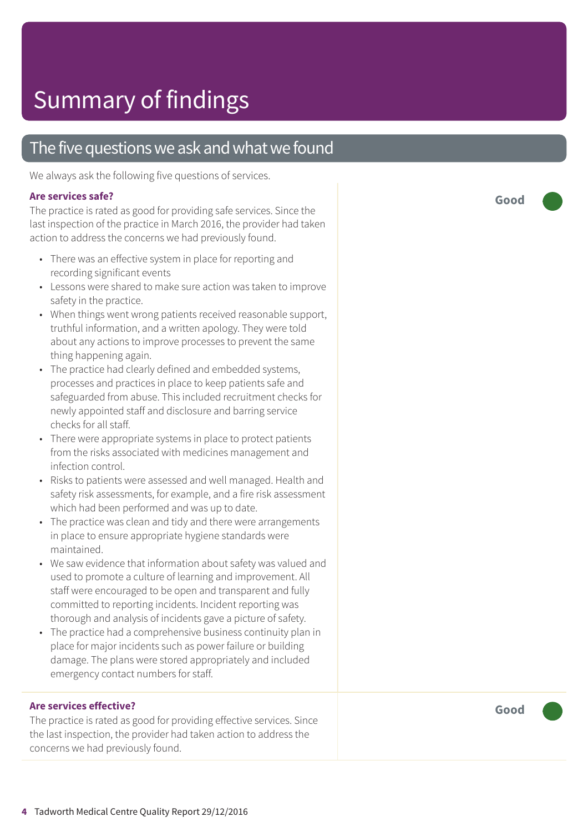### The five questions we ask and what we found

We always ask the following five questions of services.

#### **Ar e services safe ?**

The practice is rated as good for providing safe services. Since the last inspection of the practice in March 2016, the provider had taken action t o address the concerns we had pr eviously found.

- There was an effective system in place for reporting and recording significant events
- Lessons were shared to make sure action was taken to improve saf ety in the practice.
- When things went wrong patients received reasonable support, truthful information, and a written apology. The y wer e told about any actions t o improve processes t o pr event the same thing happening again.
- The practic e had clearly defined and embedded systems, processes and practices in plac e t o keep patients saf e and saf eguarded from abuse. This included recruitment checks for newly appointed staff and disclosur e and barring servic e checks for all staff.
- There were appropriate systems in place to protect patients from the risks associated with medicines management and infection control.
- Risks to patients were assessed and well managed. Health and saf ety risk assessments, for example, and a fir e risk assessment which had been performed and was up t o date.
- The practic e was clean and tidy and ther e wer e arrangements in plac e t o ensur e appropriat e hygiene standards wer e maintained.
- We saw evidenc e that information about saf ety was valued and used t o promot e a cultur e of learning and improvement. All staff wer e encouraged t o be open and transparent and fully committed to reporting incidents. Incident reporting was thorough and analysis of incidents gave a pictur e of saf ety.
- The practice had a comprehensive business continuity plan in plac e for major incidents such as power failur e or building damage. The plans wer e stored appropriately and included emer genc y contact number s for staff.

#### **Ar e services effective ?**

The practice is rated as good for providing effective services. Since the last inspection, the provider had taken action t o address the concerns we had pr eviously found.

**Good –––**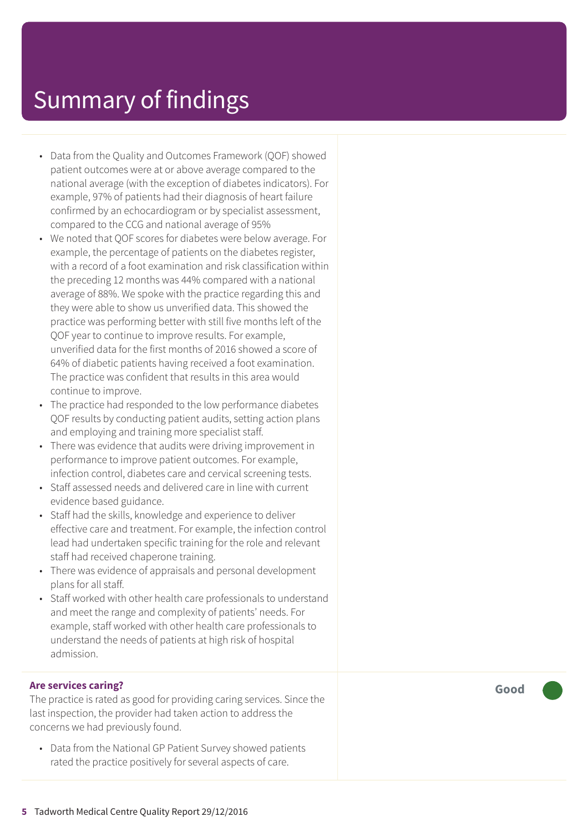- Data from the Quality and Outcomes Framework (QOF) showed patient outcomes were at or above average compared to the national average (with the exception of diabetes indicators). For example, 97% of patients had their diagnosis of heart failure confirmed by an echocardiogram or by specialist assessment, compared to the CCG and national average of 95%
- We noted that QOF scores for diabetes were below average. For example, the percentage of patients on the diabetes register, with a record of a foot examination and risk classification within the preceding 12 months was 44% compared with a national average of 88%. We spoke with the practice regarding this and they were able to show us unverified data. This showed the practice was performing better with still five months left of the QOF year to continue to improve results. For example, unverified data for the first months of 2016 showed a score of 64% of diabetic patients having received a foot examination. The practice was confident that results in this area would continue to improve.
- The practice had responded to the low performance diabetes QOF results by conducting patient audits, setting action plans and employing and training more specialist staff.
- There was evidence that audits were driving improvement in performance to improve patient outcomes. For example, infection control, diabetes care and cervical screening tests.
- Staff assessed needs and delivered care in line with current evidence based guidance.
- Staff had the skills, knowledge and experience to deliver effective care and treatment. For example, the infection control lead had undertaken specific training for the role and relevant staff had received chaperone training.
- There was evidence of appraisals and personal development plans for all staff.
- Staff worked with other health care professionals to understand and meet the range and complexity of patients' needs. For example, staff worked with other health care professionals to understand the needs of patients at high risk of hospital admission.

#### **Are services caring?**

The practice is rated as good for providing caring services. Since the last inspection, the provider had taken action to address the concerns we had previously found.

• Data from the National GP Patient Survey showed patients rated the practice positively for several aspects of care.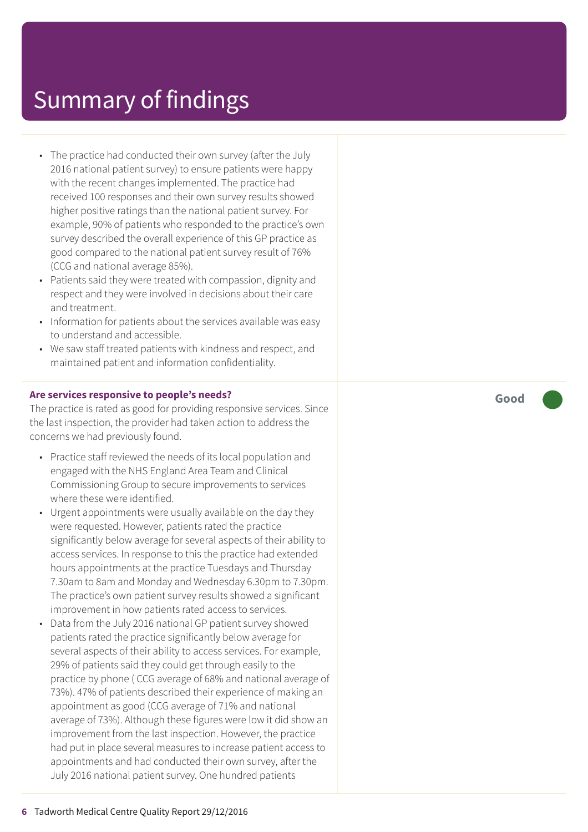- The practice had conducted their own survey (after the July 2016 national patient survey) to ensure patients were happy with the recent changes implemented. The practice had received 100 responses and their own survey results showed higher positive ratings than the national patient survey. For example, 90% of patients who responded to the practice's own survey described the overall experience of this GP practice as good compared to the national patient survey result of 76% (CCG and national average 85%).
- Patients said they were treated with compassion, dignity and respect and they were involved in decisions about their care and treatment.
- Information for patients about the services available was easy to understand and accessible.
- We saw staff treated patients with kindness and respect, and maintained patient and information confidentiality.

#### **Are services responsive to people's needs?**

The practice is rated as good for providing responsive services. Since the last inspection, the provider had taken action to address the concerns we had previously found.

- Practice staff reviewed the needs of its local population and engaged with the NHS England Area Team and Clinical Commissioning Group to secure improvements to services where these were identified.
- Urgent appointments were usually available on the day they were requested. However, patients rated the practice significantly below average for several aspects of their ability to access services. In response to this the practice had extended hours appointments at the practice Tuesdays and Thursday 7.30am to 8am and Monday and Wednesday 6.30pm to 7.30pm. The practice's own patient survey results showed a significant improvement in how patients rated access to services.
- Data from the July 2016 national GP patient survey showed patients rated the practice significantly below average for several aspects of their ability to access services. For example, 29% of patients said they could get through easily to the practice by phone ( CCG average of 68% and national average of 73%). 47% of patients described their experience of making an appointment as good (CCG average of 71% and national average of 73%). Although these figures were low it did show an improvement from the last inspection. However, the practice had put in place several measures to increase patient access to appointments and had conducted their own survey, after the July 2016 national patient survey. One hundred patients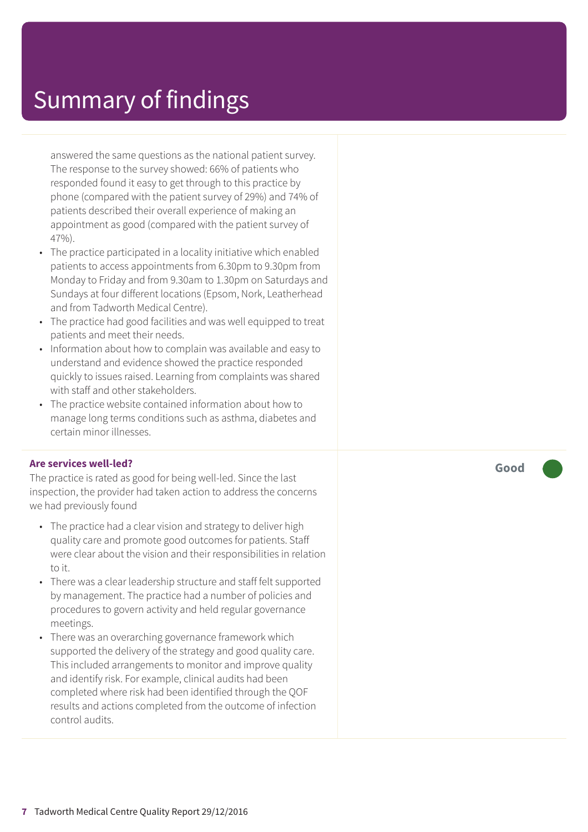answered the same questions as the national patient survey. The response to the survey showed: 66% of patients who responded found it easy to get through to this practice by phone (compared with the patient survey of 29%) and 74% of patients described their overall experience of making an appointment as good (compared with the patient survey of 47%).

- The practice participated in a locality initiative which enabled patients to access appointments from 6.30pm to 9.30pm from Monday to Friday and from 9.30am to 1.30pm on Saturdays and Sundays at four different locations (Epsom, Nork, Leatherhead and from Tadworth Medical Centre).
- The practice had good facilities and was well equipped to treat patients and meet their needs.
- Information about how to complain was available and easy to understand and evidence showed the practice responded quickly to issues raised. Learning from complaints was shared with staff and other stakeholders.
- The practice website contained information about how to manage long terms conditions such as asthma, diabetes and certain minor illnesses.

#### **Are services well-led?**

The practice is rated as good for being well-led. Since the last inspection, the provider had taken action to address the concerns we had previously found

- The practice had a clear vision and strategy to deliver high quality care and promote good outcomes for patients. Staff were clear about the vision and their responsibilities in relation to it.
- There was a clear leadership structure and staff felt supported by management. The practice had a number of policies and procedures to govern activity and held regular governance meetings.
- There was an overarching governance framework which supported the delivery of the strategy and good quality care. This included arrangements to monitor and improve quality and identify risk. For example, clinical audits had been completed where risk had been identified through the QOF results and actions completed from the outcome of infection control audits.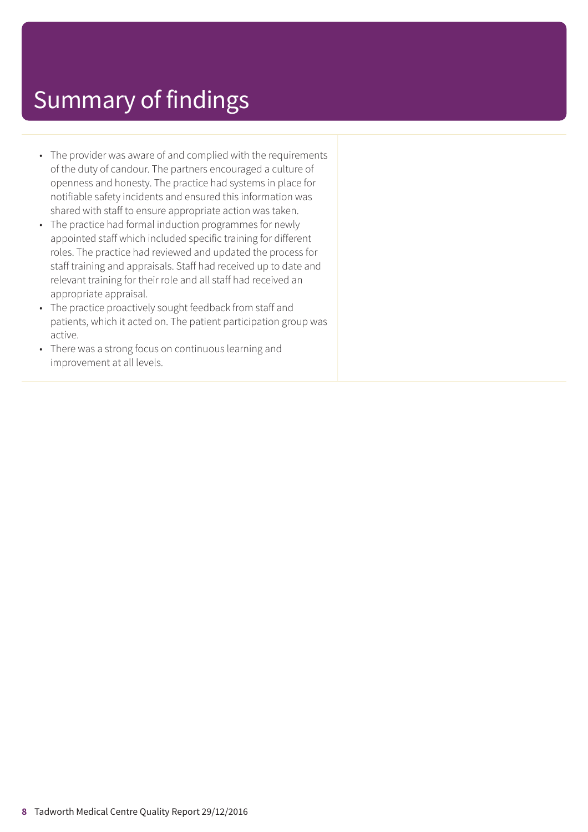- The provider was aware of and complied with the requirements of the duty of candour. The partners encouraged a culture of openness and honesty. The practice had systems in place for notifiable safety incidents and ensured this information was shared with staff to ensure appropriate action was taken.
- The practice had formal induction programmes for newly appointed staff which included specific training for different roles. The practice had reviewed and updated the process for staff training and appraisals. Staff had received up to date and relevant training for their role and all staff had received an appropriate appraisal.
- The practice proactively sought feedback from staff and patients, which it acted on. The patient participation group was active.
- There was a strong focus on continuous learning and improvement at all levels.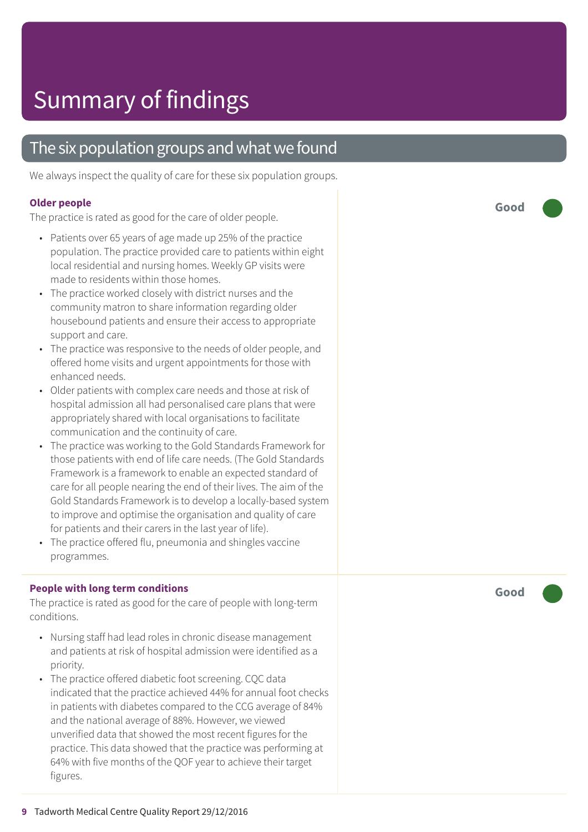### The six population groups and what we found

We always inspect the quality of care for these six population groups.

#### **Older people**

The practice is rated as good for the care of older people.

- Patients over 65 years of age made up 25% of the practice population. The practice provided care to patients within eight local residential and nursing homes. Weekly GP visits wer e made t o residents within those homes.
- The practic e worked closely with district nurses and the community matron to share information regarding older housebound patients and ensure their access to appropriate support and care.
- The practice was responsive to the needs of older people, and offered home visits and ur gent appointments for those with enhanced needs.
- Older patients with complex car e needs and those at risk of hospital admission all had personalised car e plans that wer e appropriately shared with local or ganisations t o facilitat e communication and the continuity of care.
- The practice was working to the Gold Standards Framework for those patients with end of lif e car e needs. (The Gold Standards F ramework is a framework t o enable an expected standar d of car e for all people nearing the end of their lives. The aim of the Gold Standards F ramework is t o develop a locally-based system t o improve and optimise the or ganisation and quality of car e for patients and their carer s in the last year of life).
- The practic e offered flu, pneumonia and shingles vaccine programmes.

#### **People with long term conditions**

The practice is rated as good for the care of people with long-term conditions.

- Nursing staff had lead roles in chronic disease management and patients at risk of hospital admission wer e identified as a priority.
- The practic e offered diabetic foot screening. CQC dat a indicated that the practic e achieved 44% for annual foot checks in patients with diabe tes compared t o the C C G averag e of 84% and the national averag e of 88%. However , we viewed unverified dat a that showed the most recent figures for the practice. This dat a showed that the practic e was performing at 64% with five months of the QOF year t o achieve their tar g e t figures.

**Good –––**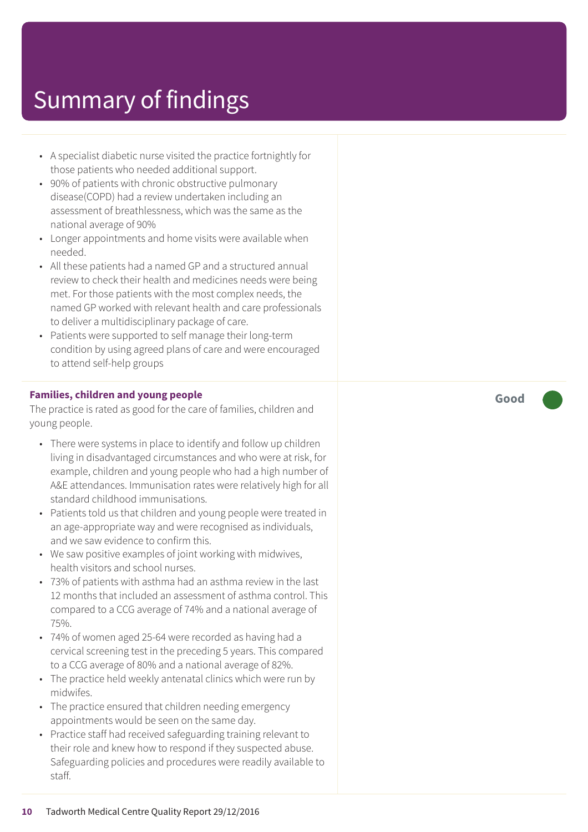- A specialist diabetic nurse visited the practice fortnightly for those patients who needed additional support.
- 90% of patients with chronic obstructive pulmonary disease(COPD) had a review undertaken including an assessment of breathlessness, which was the same as the national average of 90%
- Longer appointments and home visits were available when needed.
- All these patients had a named GP and a structured annual review to check their health and medicines needs were being met. For those patients with the most complex needs, the named GP worked with relevant health and care professionals to deliver a multidisciplinary package of care.
- Patients were supported to self manage their long-term condition by using agreed plans of care and were encouraged to attend self-help groups

#### **Families, children and young people**

The practice is rated as good for the care of families, children and young people.

- There were systems in place to identify and follow up children living in disadvantaged circumstances and who were at risk, for example, children and young people who had a high number of A&E attendances. Immunisation rates were relatively high for all standard childhood immunisations.
- Patients told us that children and young people were treated in an age-appropriate way and were recognised as individuals, and we saw evidence to confirm this.
- We saw positive examples of joint working with midwives, health visitors and school nurses.
- 73% of patients with asthma had an asthma review in the last 12 months that included an assessment of asthma control. This compared to a CCG average of 74% and a national average of 75%.
- 74% of women aged 25-64 were recorded as having had a cervical screening test in the preceding 5 years. This compared to a CCG average of 80% and a national average of 82%.
- The practice held weekly antenatal clinics which were run by midwifes.
- The practice ensured that children needing emergency appointments would be seen on the same day.
- Practice staff had received safeguarding training relevant to their role and knew how to respond if they suspected abuse. Safeguarding policies and procedures were readily available to staff.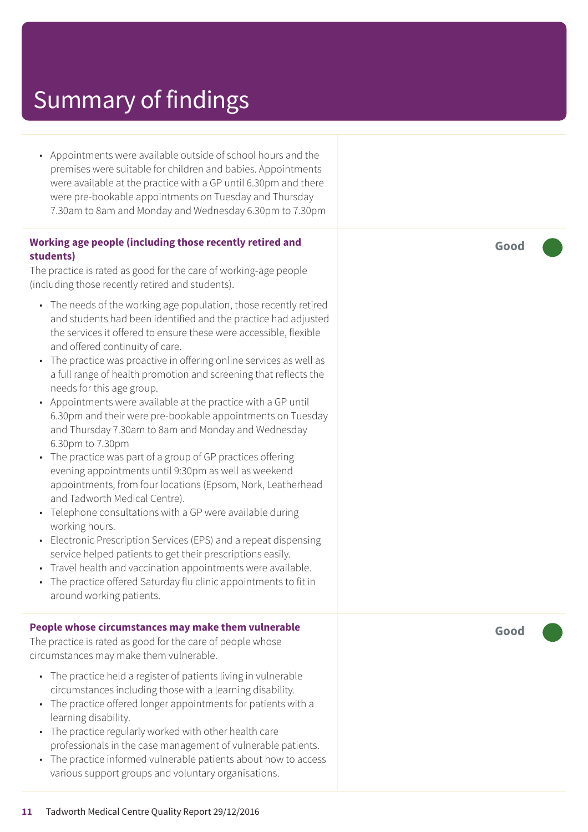• Appointments were available outside of school hours and the premises were suitable for children and babies. Appointments were available at the practice with a GP until 6.30pm and there were pre-bookable appointments on Tuesday and Thursday 7.30am to 8am and Monday and Wednesday 6.30pm to 7.30pm

#### **Working age people (including those recently retired and students)**

The practice is rated as good for the care of working-age people (including those recently retired and students).

- The needs of the working age population, those recently retired and students had been identified and the practice had adjusted the services it offered to ensure these were accessible, flexible and offered continuity of care.
- The practice was proactive in offering online services as well as a full range of health promotion and screening that reflects the needs for this age group.
- Appointments were available at the practice with a GP until 6.30pm and their were pre-bookable appointments on Tuesday and Thursday 7.30am to 8am and Monday and Wednesday 6.30pm to 7.30pm
- The practice was part of a group of GP practices offering evening appointments until 9:30pm as well as weekend appointments, from four locations (Epsom, Nork, Leatherhead and Tadworth Medical Centre).
- Telephone consultations with a GP were available during working hours.
- Electronic Prescription Services (EPS) and a repeat dispensing service helped patients to get their prescriptions easily.
- Travel health and vaccination appointments were available.
- The practice offered Saturday flu clinic appointments to fit in around working patients.

#### **People whose circumstances may make them vulnerable**

The practice is rated as good for the care of people whose circumstances may make them vulnerable.

- The practice held a register of patients living in vulnerable circumstances including those with a learning disability.
- The practice offered longer appointments for patients with a learning disability.
- The practice regularly worked with other health care professionals in the case management of vulnerable patients.
- The practice informed vulnerable patients about how to access various support groups and voluntary organisations.

**Good –––**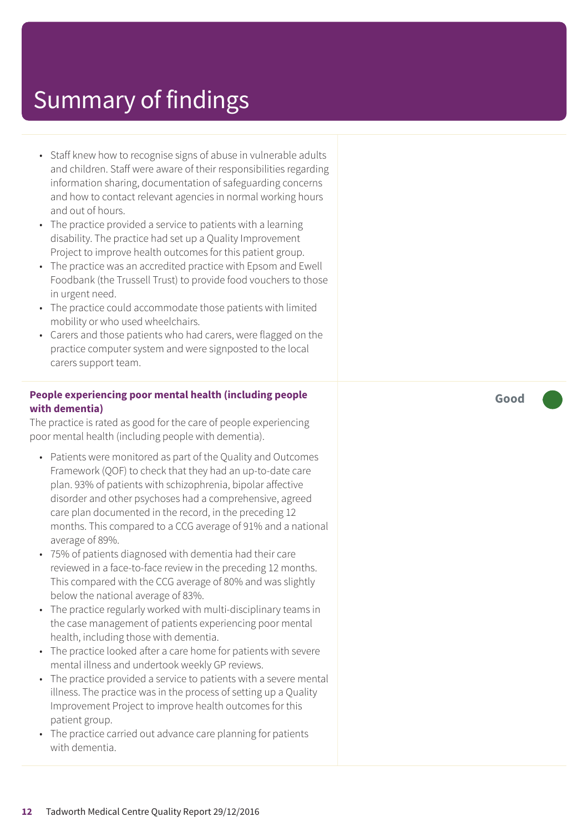- Staff knew how to recognise signs of abuse in vulnerable adults and children. Staff were aware of their responsibilities regarding information sharing, documentation of safeguarding concerns and how to contact relevant agencies in normal working hours and out of hours.
- The practice provided a service to patients with a learning disability. The practice had set up a Quality Improvement Project to improve health outcomes for this patient group.
- The practice was an accredited practice with Epsom and Ewell Foodbank (the Trussell Trust) to provide food vouchers to those in urgent need.
- The practice could accommodate those patients with limited mobility or who used wheelchairs.
- Carers and those patients who had carers, were flagged on the practice computer system and were signposted to the local carers support team.

#### **People experiencing poor mental health (including people with dementia)**

The practice is rated as good for the care of people experiencing poor mental health (including people with dementia).

- Patients were monitored as part of the Quality and Outcomes Framework (QOF) to check that they had an up-to-date care plan. 93% of patients with schizophrenia, bipolar affective disorder and other psychoses had a comprehensive, agreed care plan documented in the record, in the preceding 12 months. This compared to a CCG average of 91% and a national average of 89%.
- 75% of patients diagnosed with dementia had their care reviewed in a face-to-face review in the preceding 12 months. This compared with the CCG average of 80% and was slightly below the national average of 83%.
- The practice regularly worked with multi-disciplinary teams in the case management of patients experiencing poor mental health, including those with dementia.
- The practice looked after a care home for patients with severe mental illness and undertook weekly GP reviews.
- The practice provided a service to patients with a severe mental illness. The practice was in the process of setting up a Quality Improvement Project to improve health outcomes for this patient group.
- The practice carried out advance care planning for patients with dementia.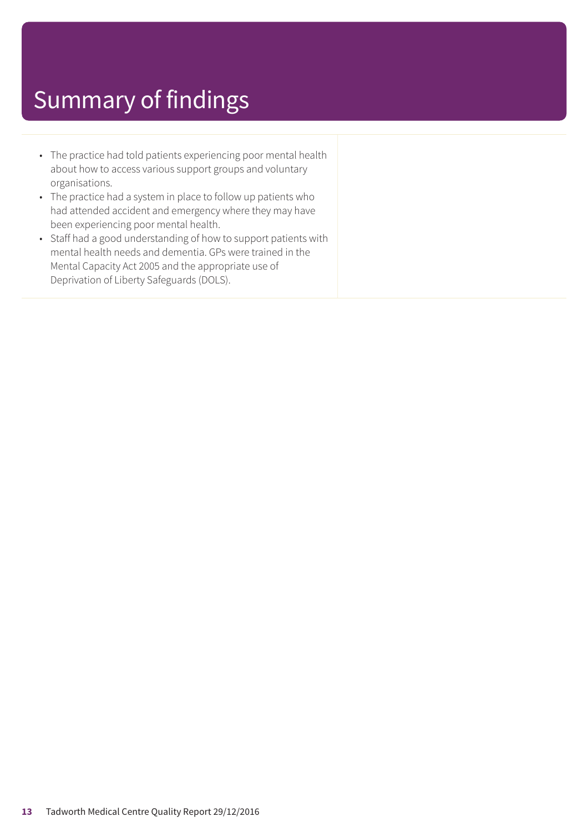- The practice had told patients experiencing poor mental health about how to access various support groups and voluntary organisations.
- The practice had a system in place to follow up patients who had attended accident and emergency where they may have been experiencing poor mental health.
- Staff had a good understanding of how to support patients with mental health needs and dementia. GPs were trained in the Mental Capacity Act 2005 and the appropriate use of Deprivation of Liberty Safeguards (DOLS).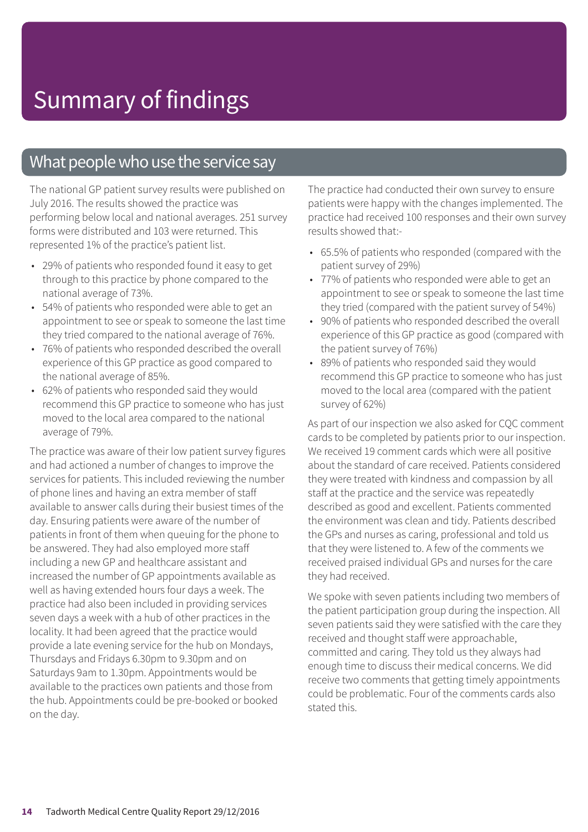### What people who use the service say

The national GP patient survey results were published on July 2016. The results showed the practice was performing below local and national averages. 251 survey forms were distributed and 103 were returned. This represented 1% of the practice's patient list.

- 29% of patients who responded found it easy to get through to this practice by phone compared to the national average of 73%.
- 54% of patients who responded were able to get an appointment to see or speak to someone the last time they tried compared to the national average of 76%.
- 76% of patients who responded described the overall experience of this GP practice as good compared to the national average of 85%.
- 62% of patients who responded said they would recommend this GP practice to someone who has just moved to the local area compared to the national average of 79%.

The practice was aware of their low patient survey figures and had actioned a number of changes to improve the services for patients. This included reviewing the number of phone lines and having an extra member of staff available to answer calls during their busiest times of the day. Ensuring patients were aware of the number of patients in front of them when queuing for the phone to be answered. They had also employed more staff including a new GP and healthcare assistant and increased the number of GP appointments available as well as having extended hours four days a week. The practice had also been included in providing services seven days a week with a hub of other practices in the locality. It had been agreed that the practice would provide a late evening service for the hub on Mondays, Thursdays and Fridays 6.30pm to 9.30pm and on Saturdays 9am to 1.30pm. Appointments would be available to the practices own patients and those from the hub. Appointments could be pre-booked or booked on the day.

The practice had conducted their own survey to ensure patients were happy with the changes implemented. The practice had received 100 responses and their own survey results showed that:-

- 65.5% of patients who responded (compared with the patient survey of 29%)
- 77% of patients who responded were able to get an appointment to see or speak to someone the last time they tried (compared with the patient survey of 54%)
- 90% of patients who responded described the overall experience of this GP practice as good (compared with the patient survey of 76%)
- 89% of patients who responded said they would recommend this GP practice to someone who has just moved to the local area (compared with the patient survey of 62%)

As part of our inspection we also asked for CQC comment cards to be completed by patients prior to our inspection. We received 19 comment cards which were all positive about the standard of care received. Patients considered they were treated with kindness and compassion by all staff at the practice and the service was repeatedly described as good and excellent. Patients commented the environment was clean and tidy. Patients described the GPs and nurses as caring, professional and told us that they were listened to. A few of the comments we received praised individual GPs and nurses for the care they had received.

We spoke with seven patients including two members of the patient participation group during the inspection. All seven patients said they were satisfied with the care they received and thought staff were approachable, committed and caring. They told us they always had enough time to discuss their medical concerns. We did receive two comments that getting timely appointments could be problematic. Four of the comments cards also stated this.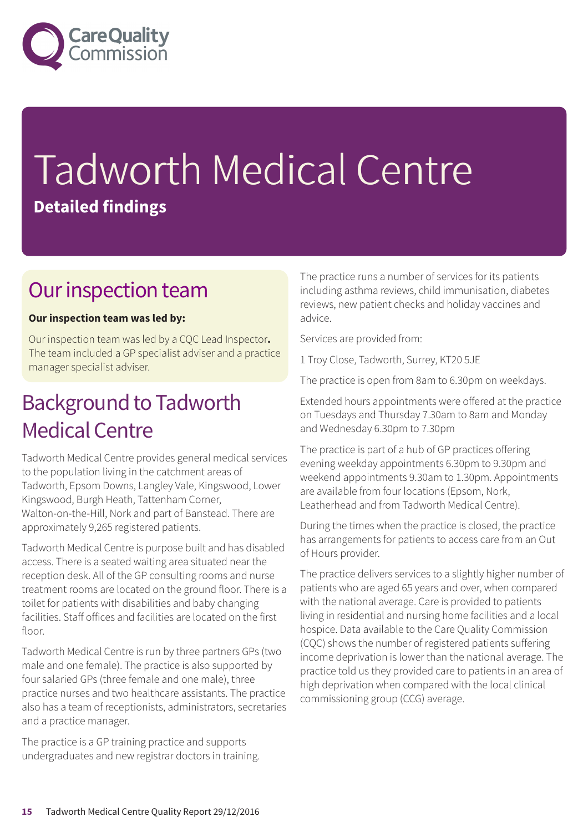

# Tadworth Medical Centre **Detailed findings**

### Our inspection team

#### **Our inspection team was led by:**

Our inspection team was led by a CQC Lead Inspector**.** The team included a GP specialist adviser and a practice manager specialist adviser.

### **Background to Tadworth Medical Centre**

Tadworth Medical Centre provides general medical services to the population living in the catchment areas of Tadworth, Epsom Downs, Langley Vale, Kingswood, Lower Kingswood, Burgh Heath, Tattenham Corner, Walton-on-the-Hill, Nork and part of Banstead. There are approximately 9,265 registered patients.

Tadworth Medical Centre is purpose built and has disabled access. There is a seated waiting area situated near the reception desk. All of the GP consulting rooms and nurse treatment rooms are located on the ground floor. There is a toilet for patients with disabilities and baby changing facilities. Staff offices and facilities are located on the first floor

Tadworth Medical Centre is run by three partners GPs (two male and one female). The practice is also supported by four salaried GPs (three female and one male), three practice nurses and two healthcare assistants. The practice also has a team of receptionists, administrators, secretaries and a practice manager.

The practice is a GP training practice and supports undergraduates and new registrar doctors in training. The practice runs a number of services for its patients including asthma reviews, child immunisation, diabetes reviews, new patient checks and holiday vaccines and advice.

Services are provided from:

1 Troy Close, Tadworth, Surrey, KT20 5JE

The practice is open from 8am to 6.30pm on weekdays.

Extended hours appointments were offered at the practice on Tuesdays and Thursday 7.30am to 8am and Monday and Wednesday 6.30pm to 7.30pm

The practice is part of a hub of GP practices offering evening weekday appointments 6.30pm to 9.30pm and weekend appointments 9.30am to 1.30pm. Appointments are available from four locations (Epsom, Nork, Leatherhead and from Tadworth Medical Centre).

During the times when the practice is closed, the practice has arrangements for patients to access care from an Out of Hours provider.

The practice delivers services to a slightly higher number of patients who are aged 65 years and over, when compared with the national average. Care is provided to patients living in residential and nursing home facilities and a local hospice. Data available to the Care Quality Commission (CQC) shows the number of registered patients suffering income deprivation is lower than the national average. The practice told us they provided care to patients in an area of high deprivation when compared with the local clinical commissioning group (CCG) average.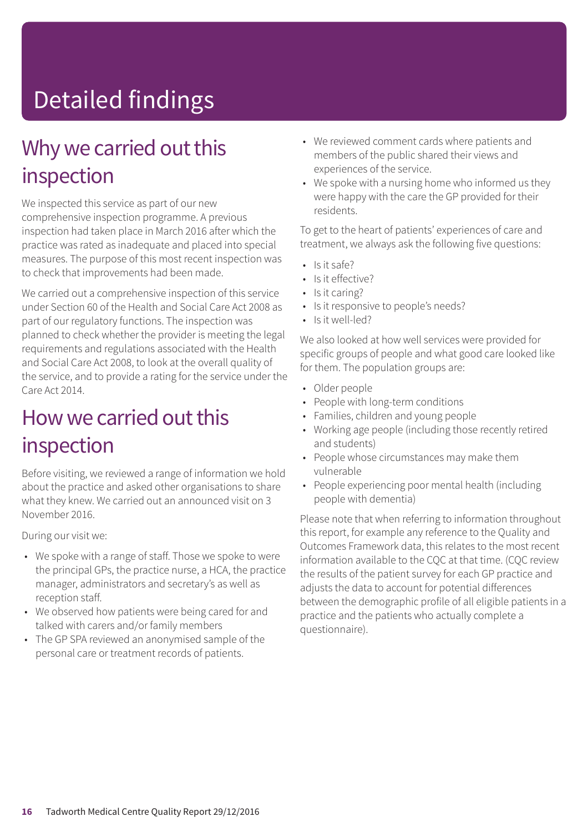# Detailed findings

### Why we carried out this inspection

We inspected this service as part of our new comprehensive inspection programme. A previous inspection had taken place in March 2016 after which the practice was rated as inadequate and placed into special measures. The purpose of this most recent inspection was to check that improvements had been made.

We carried out a comprehensive inspection of this service under Section 60 of the Health and Social Care Act 2008 as part of our regulatory functions. The inspection was planned to check whether the provider is meeting the legal requirements and regulations associated with the Health and Social Care Act 2008, to look at the overall quality of the service, and to provide a rating for the service under the Care Act 2014.

### How we carried out this inspection

Before visiting, we reviewed a range of information we hold about the practice and asked other organisations to share what they knew. We carried out an announced visit on 3 November 2016.

During our visit we:

- We spoke with a range of staff. Those we spoke to were the principal GPs, the practice nurse, a HCA, the practice manager, administrators and secretary's as well as reception staff.
- We observed how patients were being cared for and talked with carers and/or family members
- The GP SPA reviewed an anonymised sample of the personal care or treatment records of patients.
- We reviewed comment cards where patients and members of the public shared their views and experiences of the service.
- We spoke with a nursing home who informed us they were happy with the care the GP provided for their residents.

To get to the heart of patients' experiences of care and treatment, we always ask the following five questions:

- $\cdot$  Is it safe?
- Is it effective?
- Is it caring?
- Is it responsive to people's needs?
- Is it well-led?

We also looked at how well services were provided for specific groups of people and what good care looked like for them. The population groups are:

- Older people
- People with long-term conditions
- Families, children and young people
- Working age people (including those recently retired and students)
- People whose circumstances may make them vulnerable
- People experiencing poor mental health (including people with dementia)

Please note that when referring to information throughout this report, for example any reference to the Quality and Outcomes Framework data, this relates to the most recent information available to the CQC at that time. (CQC review the results of the patient survey for each GP practice and adjusts the data to account for potential differences between the demographic profile of all eligible patients in a practice and the patients who actually complete a questionnaire).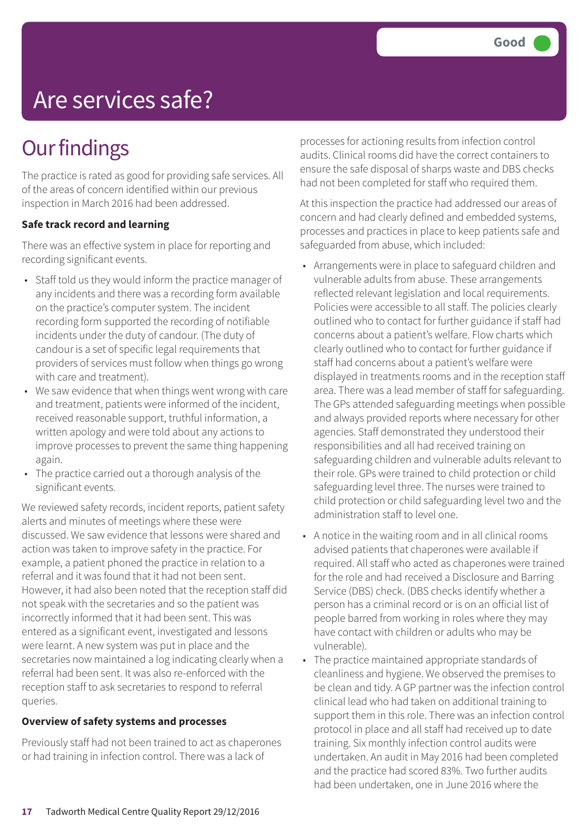# Are services safe?

## **Our findings**

The practice is rated as good for providing safe services. All of the areas of concern identified within our previous inspection in March 2016 had been addressed.

#### **Safe track record and learning**

There was an effective system in place for reporting and recording significant events.

- Staff told us they would inform the practice manager of any incidents and there was a recording form available on the practice's computer system. The incident recording form supported the recording of notifiable incidents under the duty of candour. (The duty of candour is a set of specific legal requirements that providers of services must follow when things go wrong with care and treatment).
- We saw evidence that when things went wrong with care and treatment, patients were informed of the incident, received reasonable support, truthful information, a written apology and were told about any actions to improve processes to prevent the same thing happening again.
- The practice carried out a thorough analysis of the significant events.

We reviewed safety records, incident reports, patient safety alerts and minutes of meetings where these were discussed. We saw evidence that lessons were shared and action was taken to improve safety in the practice. For example, a patient phoned the practice in relation to a referral and it was found that it had not been sent. However, it had also been noted that the reception staff did not speak with the secretaries and so the patient was incorrectly informed that it had been sent. This was entered as a significant event, investigated and lessons were learnt. A new system was put in place and the secretaries now maintained a log indicating clearly when a referral had been sent. It was also re-enforced with the reception staff to ask secretaries to respond to referral queries.

#### **Overview of safety systems and processes**

Previously staff had not been trained to act as chaperones or had training in infection control. There was a lack of

processes for actioning results from infection control audits. Clinical rooms did have the correct containers to ensure the safe disposal of sharps waste and DBS checks had not been completed for staff who required them.

At this inspection the practice had addressed our areas of concern and had clearly defined and embedded systems, processes and practices in place to keep patients safe and safeguarded from abuse, which included:

- Arrangements were in place to safeguard children and vulnerable adults from abuse. These arrangements reflected relevant legislation and local requirements. Policies were accessible to all staff. The policies clearly outlined who to contact for further guidance if staff had concerns about a patient's welfare. Flow charts which clearly outlined who to contact for further guidance if staff had concerns about a patient's welfare were displayed in treatments rooms and in the reception staff area. There was a lead member of staff for safeguarding. The GPs attended safeguarding meetings when possible and always provided reports where necessary for other agencies. Staff demonstrated they understood their responsibilities and all had received training on safeguarding children and vulnerable adults relevant to their role. GPs were trained to child protection or child safeguarding level three. The nurses were trained to child protection or child safeguarding level two and the administration staff to level one.
- A notice in the waiting room and in all clinical rooms advised patients that chaperones were available if required. All staff who acted as chaperones were trained for the role and had received a Disclosure and Barring Service (DBS) check. (DBS checks identify whether a person has a criminal record or is on an official list of people barred from working in roles where they may have contact with children or adults who may be vulnerable).
- The practice maintained appropriate standards of cleanliness and hygiene. We observed the premises to be clean and tidy. A GP partner was the infection control clinical lead who had taken on additional training to support them in this role. There was an infection control protocol in place and all staff had received up to date training. Six monthly infection control audits were undertaken. An audit in May 2016 had been completed and the practice had scored 83%. Two further audits had been undertaken, one in June 2016 where the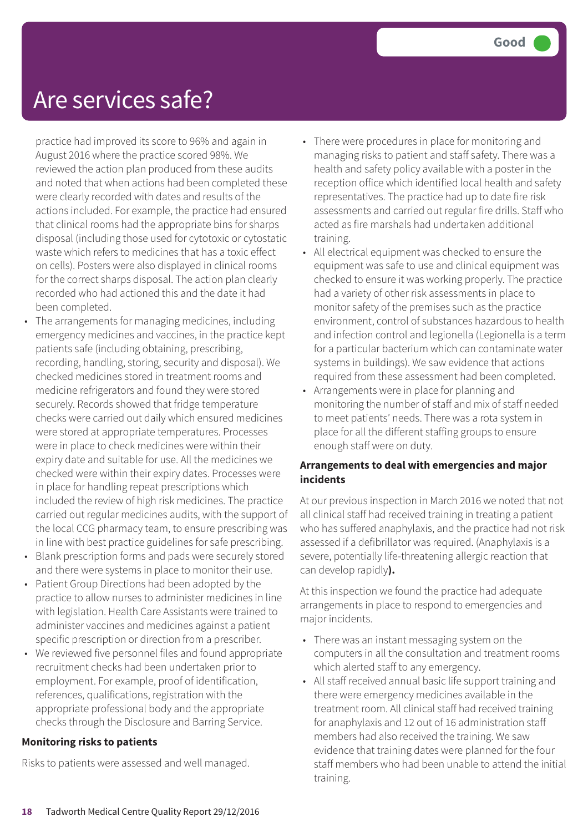### Are services safe?

practice had improved its score to 96% and again in August 2016 where the practice scored 98%. We reviewed the action plan produced from these audits and noted that when actions had been completed these were clearly recorded with dates and results of the actions included. For example, the practice had ensured that clinical rooms had the appropriate bins for sharps disposal (including those used for cytotoxic or cytostatic waste which refers to medicines that has a toxic effect on cells). Posters were also displayed in clinical rooms for the correct sharps disposal. The action plan clearly recorded who had actioned this and the date it had been completed.

- The arrangements for managing medicines, including emergency medicines and vaccines, in the practice kept patients safe (including obtaining, prescribing, recording, handling, storing, security and disposal). We checked medicines stored in treatment rooms and medicine refrigerators and found they were stored securely. Records showed that fridge temperature checks were carried out daily which ensured medicines were stored at appropriate temperatures. Processes were in place to check medicines were within their expiry date and suitable for use. All the medicines we checked were within their expiry dates. Processes were in place for handling repeat prescriptions which included the review of high risk medicines. The practice carried out regular medicines audits, with the support of the local CCG pharmacy team, to ensure prescribing was in line with best practice guidelines for safe prescribing.
- Blank prescription forms and pads were securely stored and there were systems in place to monitor their use.
- Patient Group Directions had been adopted by the practice to allow nurses to administer medicines in line with legislation. Health Care Assistants were trained to administer vaccines and medicines against a patient specific prescription or direction from a prescriber.
- We reviewed five personnel files and found appropriate recruitment checks had been undertaken prior to employment. For example, proof of identification, references, qualifications, registration with the appropriate professional body and the appropriate checks through the Disclosure and Barring Service.

#### **Monitoring risks to patients**

Risks to patients were assessed and well managed.

- There were procedures in place for monitoring and managing risks to patient and staff safety. There was a health and safety policy available with a poster in the reception office which identified local health and safety representatives. The practice had up to date fire risk assessments and carried out regular fire drills. Staff who acted as fire marshals had undertaken additional training.
- All electrical equipment was checked to ensure the equipment was safe to use and clinical equipment was checked to ensure it was working properly. The practice had a variety of other risk assessments in place to monitor safety of the premises such as the practice environment, control of substances hazardous to health and infection control and legionella (Legionella is a term for a particular bacterium which can contaminate water systems in buildings). We saw evidence that actions required from these assessment had been completed.
- Arrangements were in place for planning and monitoring the number of staff and mix of staff needed to meet patients' needs. There was a rota system in place for all the different staffing groups to ensure enough staff were on duty.

#### **Arrangements to deal with emergencies and major incidents**

At our previous inspection in March 2016 we noted that not all clinical staff had received training in treating a patient who has suffered anaphylaxis, and the practice had not risk assessed if a defibrillator was required. (Anaphylaxis is a severe, potentially life-threatening allergic reaction that can develop rapidly**).**

At this inspection we found the practice had adequate arrangements in place to respond to emergencies and major incidents.

- There was an instant messaging system on the computers in all the consultation and treatment rooms which alerted staff to any emergency.
- All staff received annual basic life support training and there were emergency medicines available in the treatment room. All clinical staff had received training for anaphylaxis and 12 out of 16 administration staff members had also received the training. We saw evidence that training dates were planned for the four staff members who had been unable to attend the initial training.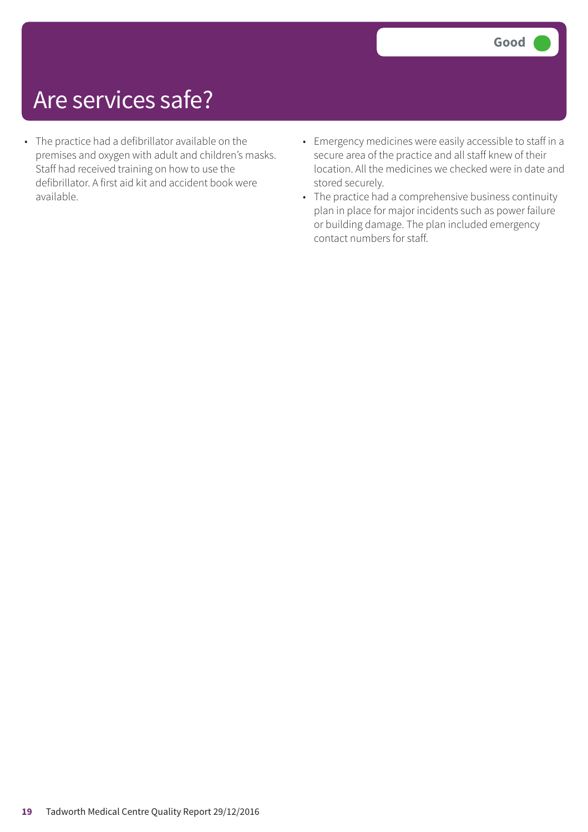## Are services safe?

- The practice had a defibrillator available on the premises and oxygen with adult and children's masks. Staff had received training on how to use the defibrillator. A first aid kit and accident book were available.
- Emergency medicines were easily accessible to staff in a secure area of the practice and all staff knew of their location. All the medicines we checked were in date and stored securely.
- The practice had a comprehensive business continuity plan in place for major incidents such as power failure or building damage. The plan included emergency contact numbers for staff.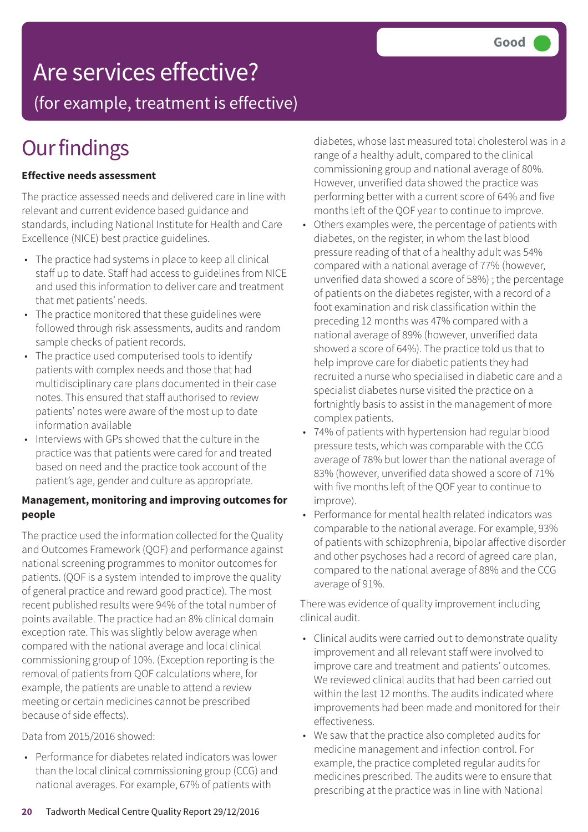## Are services effective?

(for example, treatment is effective)

## **Our findings**

#### **Effective needs assessment**

The practice assessed needs and delivered care in line with relevant and current evidence based guidance and standards, including National Institute for Health and Care Excellence (NICE) best practice guidelines.

- The practice had systems in place to keep all clinical staff up to date. Staff had access to guidelines from NICE and used this information to deliver care and treatment that met patients' needs.
- The practice monitored that these guidelines were followed through risk assessments, audits and random sample checks of patient records.
- The practice used computerised tools to identify patients with complex needs and those that had multidisciplinary care plans documented in their case notes. This ensured that staff authorised to review patients' notes were aware of the most up to date information available
- Interviews with GPs showed that the culture in the practice was that patients were cared for and treated based on need and the practice took account of the patient's age, gender and culture as appropriate.

#### **Management, monitoring and improving outcomes for people**

The practice used the information collected for the Quality and Outcomes Framework (QOF) and performance against national screening programmes to monitor outcomes for patients. (QOF is a system intended to improve the quality of general practice and reward good practice). The most recent published results were 94% of the total number of points available. The practice had an 8% clinical domain exception rate. This was slightly below average when compared with the national average and local clinical commissioning group of 10%. (Exception reporting is the removal of patients from QOF calculations where, for example, the patients are unable to attend a review meeting or certain medicines cannot be prescribed because of side effects).

Data from 2015/2016 showed:

• Performance for diabetes related indicators was lower than the local clinical commissioning group (CCG) and national averages. For example, 67% of patients with

diabetes, whose last measured total cholesterol was in a range of a healthy adult, compared to the clinical commissioning group and national average of 80%. However, unverified data showed the practice was performing better with a current score of 64% and five months left of the QOF year to continue to improve.

- Others examples were, the percentage of patients with diabetes, on the register, in whom the last blood pressure reading of that of a healthy adult was 54% compared with a national average of 77% (however, unverified data showed a score of 58%) ; the percentage of patients on the diabetes register, with a record of a foot examination and risk classification within the preceding 12 months was 47% compared with a national average of 89% (however, unverified data showed a score of 64%). The practice told us that to help improve care for diabetic patients they had recruited a nurse who specialised in diabetic care and a specialist diabetes nurse visited the practice on a fortnightly basis to assist in the management of more complex patients.
- 74% of patients with hypertension had regular blood pressure tests, which was comparable with the CCG average of 78% but lower than the national average of 83% (however, unverified data showed a score of 71% with five months left of the QOF year to continue to improve).
- Performance for mental health related indicators was comparable to the national average. For example, 93% of patients with schizophrenia, bipolar affective disorder and other psychoses had a record of agreed care plan, compared to the national average of 88% and the CCG average of 91%.

There was evidence of quality improvement including clinical audit.

- Clinical audits were carried out to demonstrate quality improvement and all relevant staff were involved to improve care and treatment and patients' outcomes. We reviewed clinical audits that had been carried out within the last 12 months. The audits indicated where improvements had been made and monitored for their effectiveness.
- We saw that the practice also completed audits for medicine management and infection control. For example, the practice completed regular audits for medicines prescribed. The audits were to ensure that prescribing at the practice was in line with National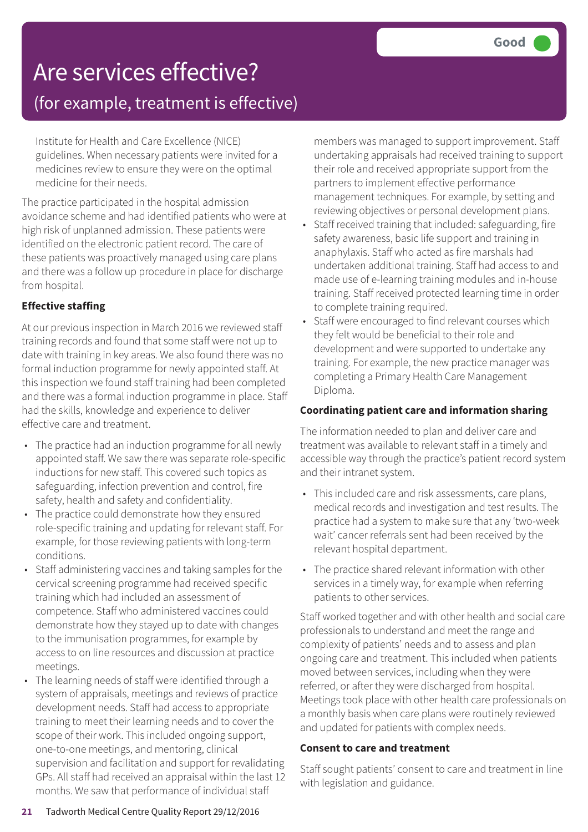# Are services effective?

(for example, treatment is effective)

Institute for Health and Care Excellence (NICE) guidelines. When necessary patients were invited for a medicines review to ensure they were on the optimal medicine for their needs.

The practice participated in the hospital admission avoidance scheme and had identified patients who were at high risk of unplanned admission. These patients were identified on the electronic patient record. The care of these patients was proactively managed using care plans and there was a follow up procedure in place for discharge from hospital.

#### **Effective staffing**

At our previous inspection in March 2016 we reviewed staff training records and found that some staff were not up to date with training in key areas. We also found there was no formal induction programme for newly appointed staff. At this inspection we found staff training had been completed and there was a formal induction programme in place. Staff had the skills, knowledge and experience to deliver effective care and treatment.

- The practice had an induction programme for all newly appointed staff. We saw there was separate role-specific inductions for new staff. This covered such topics as safeguarding, infection prevention and control, fire safety, health and safety and confidentiality.
- The practice could demonstrate how they ensured role-specific training and updating for relevant staff. For example, for those reviewing patients with long-term conditions.
- Staff administering vaccines and taking samples for the cervical screening programme had received specific training which had included an assessment of competence. Staff who administered vaccines could demonstrate how they stayed up to date with changes to the immunisation programmes, for example by access to on line resources and discussion at practice meetings.
- The learning needs of staff were identified through a system of appraisals, meetings and reviews of practice development needs. Staff had access to appropriate training to meet their learning needs and to cover the scope of their work. This included ongoing support, one-to-one meetings, and mentoring, clinical supervision and facilitation and support for revalidating GPs. All staff had received an appraisal within the last 12 months. We saw that performance of individual staff

members was managed to support improvement. Staff undertaking appraisals had received training to support their role and received appropriate support from the partners to implement effective performance management techniques. For example, by setting and reviewing objectives or personal development plans.

- Staff received training that included: safeguarding, fire safety awareness, basic life support and training in anaphylaxis. Staff who acted as fire marshals had undertaken additional training. Staff had access to and made use of e-learning training modules and in-house training. Staff received protected learning time in order to complete training required.
- Staff were encouraged to find relevant courses which they felt would be beneficial to their role and development and were supported to undertake any training. For example, the new practice manager was completing a Primary Health Care Management Diploma.

#### **Coordinating patient care and information sharing**

The information needed to plan and deliver care and treatment was available to relevant staff in a timely and accessible way through the practice's patient record system and their intranet system.

- This included care and risk assessments, care plans, medical records and investigation and test results. The practice had a system to make sure that any 'two-week wait' cancer referrals sent had been received by the relevant hospital department.
- The practice shared relevant information with other services in a timely way, for example when referring patients to other services.

Staff worked together and with other health and social care professionals to understand and meet the range and complexity of patients' needs and to assess and plan ongoing care and treatment. This included when patients moved between services, including when they were referred, or after they were discharged from hospital. Meetings took place with other health care professionals on a monthly basis when care plans were routinely reviewed and updated for patients with complex needs.

#### **Consent to care and treatment**

Staff sought patients' consent to care and treatment in line with legislation and guidance.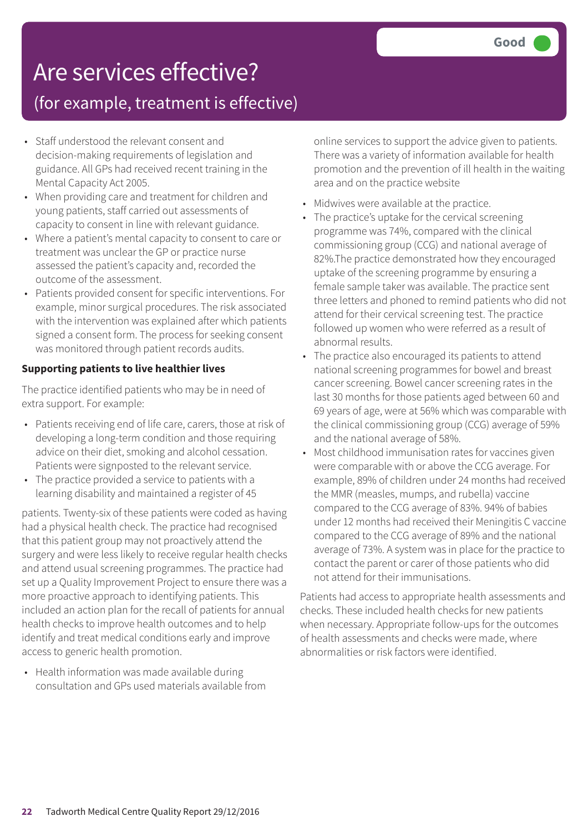## Are services effective?

### (for example, treatment is effective)

- Staff understood the relevant consent and decision-making requirements of legislation and guidance. All GPs had received recent training in the Mental Capacity Act 2005.
- When providing care and treatment for children and young patients, staff carried out assessments of capacity to consent in line with relevant guidance.
- Where a patient's mental capacity to consent to care or treatment was unclear the GP or practice nurse assessed the patient's capacity and, recorded the outcome of the assessment.
- Patients provided consent for specific interventions. For example, minor surgical procedures. The risk associated with the intervention was explained after which patients signed a consent form. The process for seeking consent was monitored through patient records audits.

#### **Supporting patients to live healthier lives**

The practice identified patients who may be in need of extra support. For example:

- Patients receiving end of life care, carers, those at risk of developing a long-term condition and those requiring advice on their diet, smoking and alcohol cessation. Patients were signposted to the relevant service.
- The practice provided a service to patients with a learning disability and maintained a register of 45

patients. Twenty-six of these patients were coded as having had a physical health check. The practice had recognised that this patient group may not proactively attend the surgery and were less likely to receive regular health checks and attend usual screening programmes. The practice had set up a Quality Improvement Project to ensure there was a more proactive approach to identifying patients. This included an action plan for the recall of patients for annual health checks to improve health outcomes and to help identify and treat medical conditions early and improve access to generic health promotion.

• Health information was made available during consultation and GPs used materials available from online services to support the advice given to patients. There was a variety of information available for health promotion and the prevention of ill health in the waiting area and on the practice website

- Midwives were available at the practice.
- The practice's uptake for the cervical screening programme was 74%, compared with the clinical commissioning group (CCG) and national average of 82%.The practice demonstrated how they encouraged uptake of the screening programme by ensuring a female sample taker was available. The practice sent three letters and phoned to remind patients who did not attend for their cervical screening test. The practice followed up women who were referred as a result of abnormal results.
- The practice also encouraged its patients to attend national screening programmes for bowel and breast cancer screening. Bowel cancer screening rates in the last 30 months for those patients aged between 60 and 69 years of age, were at 56% which was comparable with the clinical commissioning group (CCG) average of 59% and the national average of 58%.
- Most childhood immunisation rates for vaccines given were comparable with or above the CCG average. For example, 89% of children under 24 months had received the MMR (measles, mumps, and rubella) vaccine compared to the CCG average of 83%. 94% of babies under 12 months had received their Meningitis C vaccine compared to the CCG average of 89% and the national average of 73%. A system was in place for the practice to contact the parent or carer of those patients who did not attend for their immunisations.

Patients had access to appropriate health assessments and checks. These included health checks for new patients when necessary. Appropriate follow-ups for the outcomes of health assessments and checks were made, where abnormalities or risk factors were identified.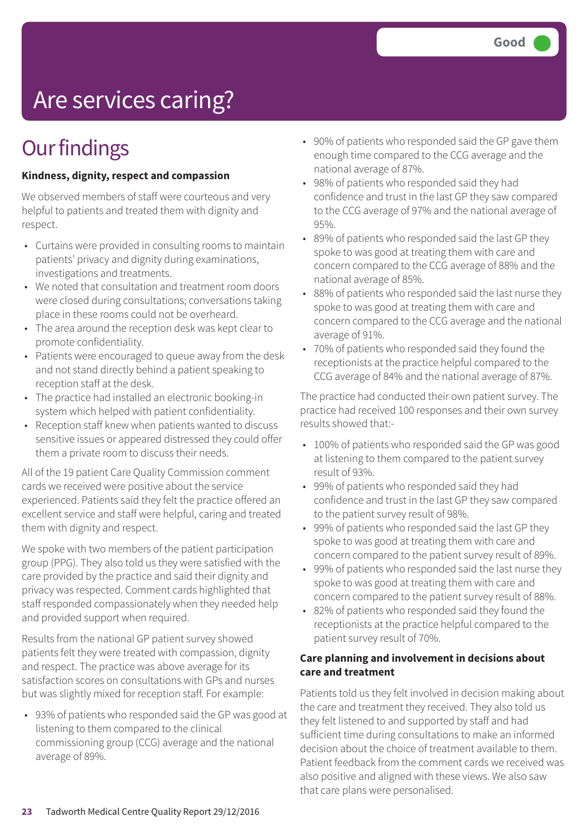# Are services caring?

## **Our findings**

#### **Kindness, dignity, respect and compassion**

We observed members of staff were courteous and very helpful to patients and treated them with dignity and respect.

- Curtains were provided in consulting rooms to maintain patients' privacy and dignity during examinations, investigations and treatments.
- We noted that consultation and treatment room doors were closed during consultations; conversations taking place in these rooms could not be overheard.
- The area around the reception desk was kept clear to promote confidentiality.
- Patients were encouraged to queue away from the desk and not stand directly behind a patient speaking to reception staff at the desk.
- The practice had installed an electronic booking-in system which helped with patient confidentiality.
- Reception staff knew when patients wanted to discuss sensitive issues or appeared distressed they could offer them a private room to discuss their needs.

All of the 19 patient Care Quality Commission comment cards we received were positive about the service experienced. Patients said they felt the practice offered an excellent service and staff were helpful, caring and treated them with dignity and respect.

We spoke with two members of the patient participation group (PPG). They also told us they were satisfied with the care provided by the practice and said their dignity and privacy was respected. Comment cards highlighted that staff responded compassionately when they needed help and provided support when required.

Results from the national GP patient survey showed patients felt they were treated with compassion, dignity and respect. The practice was above average for its satisfaction scores on consultations with GPs and nurses but was slightly mixed for reception staff. For example:

• 93% of patients who responded said the GP was good at listening to them compared to the clinical commissioning group (CCG) average and the national average of 89%.

- 90% of patients who responded said the GP gave them enough time compared to the CCG average and the national average of 87%.
- 98% of patients who responded said they had confidence and trust in the last GP they saw compared to the CCG average of 97% and the national average of 95%.
- 89% of patients who responded said the last GP they spoke to was good at treating them with care and concern compared to the CCG average of 88% and the national average of 85%.
- 88% of patients who responded said the last nurse they spoke to was good at treating them with care and concern compared to the CCG average and the national average of 91%.
- 70% of patients who responded said they found the receptionists at the practice helpful compared to the CCG average of 84% and the national average of 87%.

The practice had conducted their own patient survey. The practice had received 100 responses and their own survey results showed that:-

- 100% of patients who responded said the GP was good at listening to them compared to the patient survey result of 93%.
- 99% of patients who responded said they had confidence and trust in the last GP they saw compared to the patient survey result of 98%.
- 99% of patients who responded said the last GP they spoke to was good at treating them with care and concern compared to the patient survey result of 89%.
- 99% of patients who responded said the last nurse they spoke to was good at treating them with care and concern compared to the patient survey result of 88%.
- 82% of patients who responded said they found the receptionists at the practice helpful compared to the patient survey result of 70%.

#### **Care planning and involvement in decisions about care and treatment**

Patients told us they felt involved in decision making about the care and treatment they received. They also told us they felt listened to and supported by staff and had sufficient time during consultations to make an informed decision about the choice of treatment available to them. Patient feedback from the comment cards we received was also positive and aligned with these views. We also saw that care plans were personalised.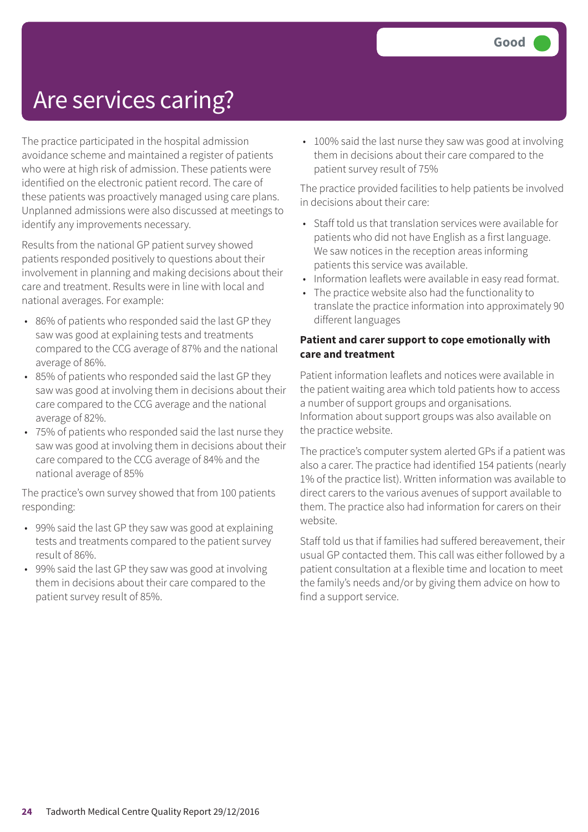## Are services caring?

The practice participated in the hospital admission avoidance scheme and maintained a register of patients who were at high risk of admission. These patients were identified on the electronic patient record. The care of these patients was proactively managed using care plans. Unplanned admissions were also discussed at meetings to identify any improvements necessary.

Results from the national GP patient survey showed patients responded positively to questions about their involvement in planning and making decisions about their care and treatment. Results were in line with local and national averages. For example:

- 86% of patients who responded said the last GP they saw was good at explaining tests and treatments compared to the CCG average of 87% and the national average of 86%.
- 85% of patients who responded said the last GP they saw was good at involving them in decisions about their care compared to the CCG average and the national average of 82%.
- 75% of patients who responded said the last nurse they saw was good at involving them in decisions about their care compared to the CCG average of 84% and the national average of 85%

The practice's own survey showed that from 100 patients responding:

- 99% said the last GP they saw was good at explaining tests and treatments compared to the patient survey result of 86%.
- 99% said the last GP they saw was good at involving them in decisions about their care compared to the patient survey result of 85%.

• 100% said the last nurse they saw was good at involving them in decisions about their care compared to the patient survey result of 75%

The practice provided facilities to help patients be involved in decisions about their care:

- Staff told us that translation services were available for patients who did not have English as a first language. We saw notices in the reception areas informing patients this service was available.
- Information leaflets were available in easy read format.
- The practice website also had the functionality to translate the practice information into approximately 90 different languages

#### **Patient and carer support to cope emotionally with care and treatment**

Patient information leaflets and notices were available in the patient waiting area which told patients how to access a number of support groups and organisations. Information about support groups was also available on the practice website.

The practice's computer system alerted GPs if a patient was also a carer. The practice had identified 154 patients (nearly 1% of the practice list). Written information was available to direct carers to the various avenues of support available to them. The practice also had information for carers on their website.

Staff told us that if families had suffered bereavement, their usual GP contacted them. This call was either followed by a patient consultation at a flexible time and location to meet the family's needs and/or by giving them advice on how to find a support service.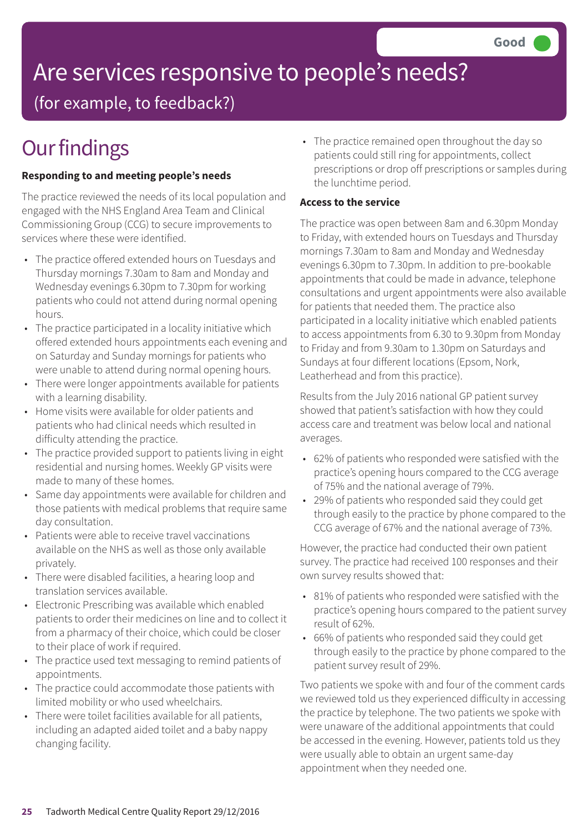# Are services responsive to people's needs?

(for example, to feedback?)

# **Our findings**

#### **Responding to and meeting people's needs**

The practice reviewed the needs of its local population and engaged with the NHS England Area Team and Clinical Commissioning Group (CCG) to secure improvements to services where these were identified.

- The practice offered extended hours on Tuesdays and Thursday mornings 7.30am to 8am and Monday and Wednesday evenings 6.30pm to 7.30pm for working patients who could not attend during normal opening hours.
- The practice participated in a locality initiative which offered extended hours appointments each evening and on Saturday and Sunday mornings for patients who were unable to attend during normal opening hours.
- There were longer appointments available for patients with a learning disability.
- Home visits were available for older patients and patients who had clinical needs which resulted in difficulty attending the practice.
- The practice provided support to patients living in eight residential and nursing homes. Weekly GP visits were made to many of these homes.
- Same day appointments were available for children and those patients with medical problems that require same day consultation.
- Patients were able to receive travel vaccinations available on the NHS as well as those only available privately.
- There were disabled facilities, a hearing loop and translation services available.
- Electronic Prescribing was available which enabled patients to order their medicines on line and to collect it from a pharmacy of their choice, which could be closer to their place of work if required.
- The practice used text messaging to remind patients of appointments.
- The practice could accommodate those patients with limited mobility or who used wheelchairs.
- There were toilet facilities available for all patients, including an adapted aided toilet and a baby nappy changing facility.

• The practice remained open throughout the day so patients could still ring for appointments, collect prescriptions or drop off prescriptions or samples during the lunchtime period.

#### **Access to the service**

The practice was open between 8am and 6.30pm Monday to Friday, with extended hours on Tuesdays and Thursday mornings 7.30am to 8am and Monday and Wednesday evenings 6.30pm to 7.30pm. In addition to pre-bookable appointments that could be made in advance, telephone consultations and urgent appointments were also available for patients that needed them. The practice also participated in a locality initiative which enabled patients to access appointments from 6.30 to 9.30pm from Monday to Friday and from 9.30am to 1.30pm on Saturdays and Sundays at four different locations (Epsom, Nork, Leatherhead and from this practice).

Results from the July 2016 national GP patient survey showed that patient's satisfaction with how they could access care and treatment was below local and national averages.

- 62% of patients who responded were satisfied with the practice's opening hours compared to the CCG average of 75% and the national average of 79%.
- 29% of patients who responded said they could get through easily to the practice by phone compared to the CCG average of 67% and the national average of 73%.

However, the practice had conducted their own patient survey. The practice had received 100 responses and their own survey results showed that:

- 81% of patients who responded were satisfied with the practice's opening hours compared to the patient survey result of 62%.
- 66% of patients who responded said they could get through easily to the practice by phone compared to the patient survey result of 29%.

Two patients we spoke with and four of the comment cards we reviewed told us they experienced difficulty in accessing the practice by telephone. The two patients we spoke with were unaware of the additional appointments that could be accessed in the evening. However, patients told us they were usually able to obtain an urgent same-day appointment when they needed one.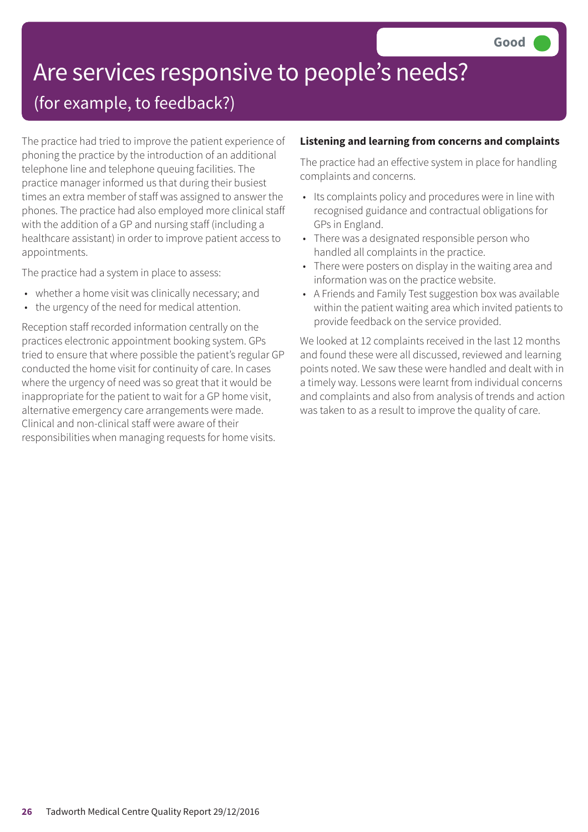# Are services responsive to people's needs?

### (for example, to feedback?)

The practice had tried to improve the patient experience of phoning the practice by the introduction of an additional telephone line and telephone queuing facilities. The practice manager informed us that during their busiest times an extra member of staff was assigned to answer the phones. The practice had also employed more clinical staff with the addition of a GP and nursing staff (including a healthcare assistant) in order to improve patient access to appointments.

The practice had a system in place to assess:

- whether a home visit was clinically necessary; and
- the urgency of the need for medical attention.

Reception staff recorded information centrally on the practices electronic appointment booking system. GPs tried to ensure that where possible the patient's regular GP conducted the home visit for continuity of care. In cases where the urgency of need was so great that it would be inappropriate for the patient to wait for a GP home visit, alternative emergency care arrangements were made. Clinical and non-clinical staff were aware of their responsibilities when managing requests for home visits.

#### **Listening and learning from concerns and complaints**

The practice had an effective system in place for handling complaints and concerns.

- Its complaints policy and procedures were in line with recognised guidance and contractual obligations for GPs in England.
- There was a designated responsible person who handled all complaints in the practice.
- There were posters on display in the waiting area and information was on the practice website.
- A Friends and Family Test suggestion box was available within the patient waiting area which invited patients to provide feedback on the service provided.

We looked at 12 complaints received in the last 12 months and found these were all discussed, reviewed and learning points noted. We saw these were handled and dealt with in a timely way. Lessons were learnt from individual concerns and complaints and also from analysis of trends and action was taken to as a result to improve the quality of care.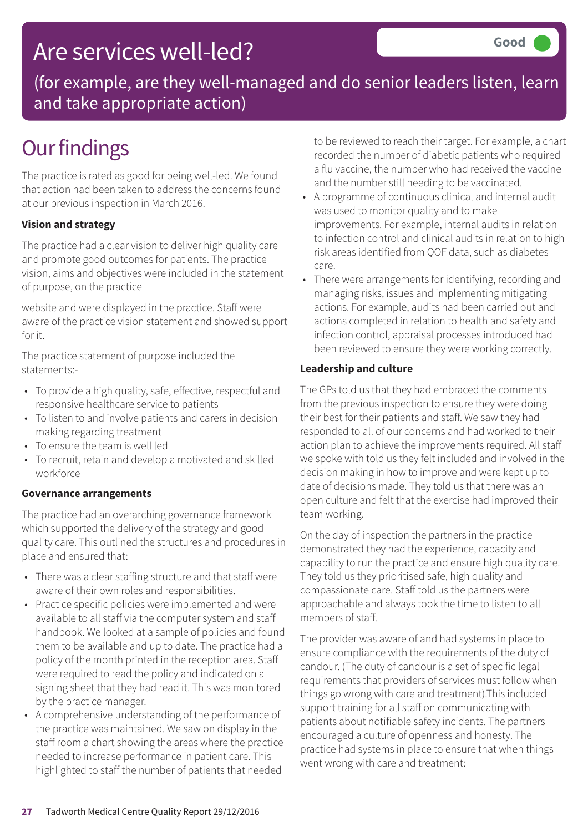### Are services well-led?

(for example, are they well-managed and do senior leaders listen, learn and take appropriate action)

## **Our findings**

The practice is rated as good for being well-led. We found that action had been taken to address the concerns found at our previous inspection in March 2016.

#### **Vision and strategy**

The practice had a clear vision to deliver high quality care and promote good outcomes for patients. The practice vision, aims and objectives were included in the statement of purpose, on the practice

website and were displayed in the practice. Staff were aware of the practice vision statement and showed support for it.

The practice statement of purpose included the statements:-

- To provide a high quality, safe, effective, respectful and responsive healthcare service to patients
- To listen to and involve patients and carers in decision making regarding treatment
- To ensure the team is well led
- To recruit, retain and develop a motivated and skilled workforce

#### **Governance arrangements**

The practice had an overarching governance framework which supported the delivery of the strategy and good quality care. This outlined the structures and procedures in place and ensured that:

- There was a clear staffing structure and that staff were aware of their own roles and responsibilities.
- Practice specific policies were implemented and were available to all staff via the computer system and staff handbook. We looked at a sample of policies and found them to be available and up to date. The practice had a policy of the month printed in the reception area. Staff were required to read the policy and indicated on a signing sheet that they had read it. This was monitored by the practice manager.
- A comprehensive understanding of the performance of the practice was maintained. We saw on display in the staff room a chart showing the areas where the practice needed to increase performance in patient care. This highlighted to staff the number of patients that needed

to be reviewed to reach their target. For example, a chart recorded the number of diabetic patients who required a flu vaccine, the number who had received the vaccine and the number still needing to be vaccinated.

- A programme of continuous clinical and internal audit was used to monitor quality and to make improvements. For example, internal audits in relation to infection control and clinical audits in relation to high risk areas identified from QOF data, such as diabetes care.
- There were arrangements for identifying, recording and managing risks, issues and implementing mitigating actions. For example, audits had been carried out and actions completed in relation to health and safety and infection control, appraisal processes introduced had been reviewed to ensure they were working correctly.

#### **Leadership and culture**

The GPs told us that they had embraced the comments from the previous inspection to ensure they were doing their best for their patients and staff. We saw they had responded to all of our concerns and had worked to their action plan to achieve the improvements required. All staff we spoke with told us they felt included and involved in the decision making in how to improve and were kept up to date of decisions made. They told us that there was an open culture and felt that the exercise had improved their team working.

On the day of inspection the partners in the practice demonstrated they had the experience, capacity and capability to run the practice and ensure high quality care. They told us they prioritised safe, high quality and compassionate care. Staff told us the partners were approachable and always took the time to listen to all members of staff.

The provider was aware of and had systems in place to ensure compliance with the requirements of the duty of candour. (The duty of candour is a set of specific legal requirements that providers of services must follow when things go wrong with care and treatment).This included support training for all staff on communicating with patients about notifiable safety incidents. The partners encouraged a culture of openness and honesty. The practice had systems in place to ensure that when things went wrong with care and treatment: